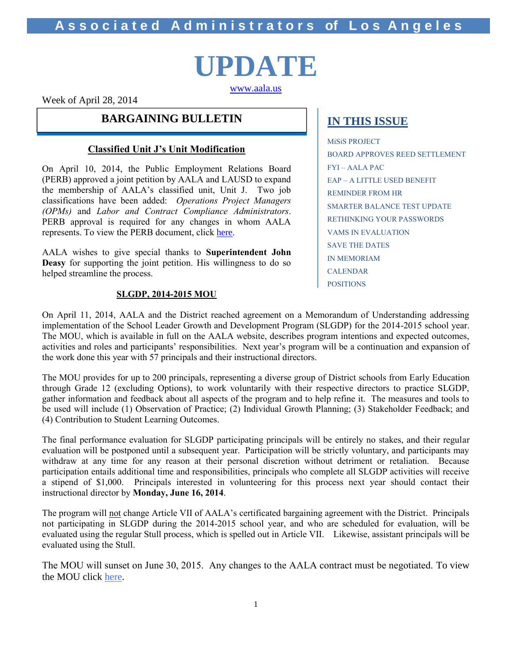# **UPDATE**

[www.aala.us](http://www.aala.us/)

Week of April 28, 2014

### **BARGAINING BULLETIN IN THIS ISSUE**

### **Classified Unit J's Unit Modification**

On April 10, 2014, the Public Employment Relations Board (PERB) approved a joint petition by AALA and LAUSD to expand the membership of AALA's classified unit, Unit J. Two job classifications have been added: *Operations Project Managers (OPMs)* and *Labor and Contract Compliance Administrators*. PERB approval is required for any changes in whom AALA represents. To view the PERB document, click [here](http://www.aala.us/docs/2014/04/Revised-Unit-Modificatio_001.pdf).

AALA wishes to give special thanks to **Superintendent John Deasy** for supporting the joint petition. His willingness to do so helped streamline the process.

### **SLGDP, 2014-2015 MOU**

MiSiS PROJECT BOARD APPROVES REED SETTLEMENT FYI – AALA PAC EAP – A LITTLE USED BENEFIT REMINDER FROM HR SMARTER BALANCE TEST UPDATE RETHINKING YOUR PASSWORDS VAMS IN EVALUATION SAVE THE DATES IN MEMORIAM CALENDAR POSITIONS

On April 11, 2014, AALA and the District reached agreement on a Memorandum of Understanding addressing implementation of the School Leader Growth and Development Program (SLGDP) for the 2014-2015 school year. The MOU, which is available in full on the AALA website, describes program intentions and expected outcomes, activities and roles and participants' responsibilities. Next year's program will be a continuation and expansion of the work done this year with 57 principals and their instructional directors.

The MOU provides for up to 200 principals, representing a diverse group of District schools from Early Education through Grade 12 (excluding Options), to work voluntarily with their respective directors to practice SLGDP, gather information and feedback about all aspects of the program and to help refine it. The measures and tools to be used will include (1) Observation of Practice; (2) Individual Growth Planning; (3) Stakeholder Feedback; and (4) Contribution to Student Learning Outcomes.

The final performance evaluation for SLGDP participating principals will be entirely no stakes, and their regular evaluation will be postponed until a subsequent year. Participation will be strictly voluntary, and participants may withdraw at any time for any reason at their personal discretion without detriment or retaliation. Because participation entails additional time and responsibilities, principals who complete all SLGDP activities will receive a stipend of \$1,000. Principals interested in volunteering for this process next year should contact their instructional director by **Monday, June 16, 2014**.

The program will not change Article VII of AALA's certificated bargaining agreement with the District. Principals not participating in SLGDP during the 2014-2015 school year, and who are scheduled for evaluation, will be evaluated using the regular Stull process, which is spelled out in Article VII. Likewise, assistant principals will be evaluated using the Stull.

The MOU will sunset on June 30, 2015. Any changes to the AALA contract must be negotiated. To view the MOU click [here.](http://www.aala.us/docs/2014/04/LAUSD-AALA-MOU-Concerning-The-School-Leader-Growth-and-Development-Program-2014-15.pdf)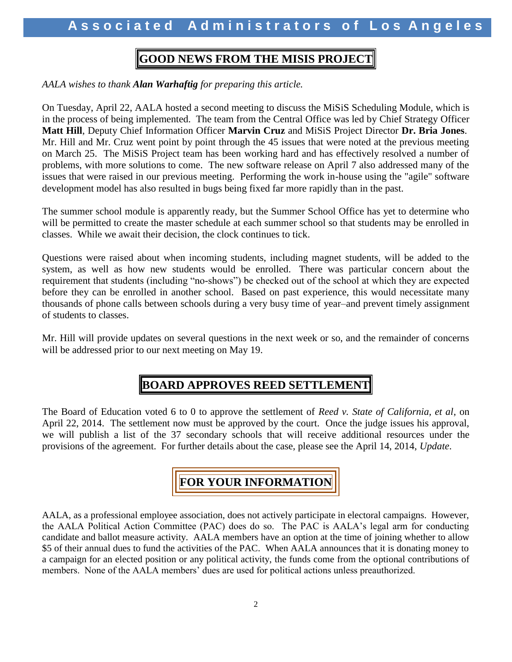### **GOOD NEWS FROM THE MISIS PROJECT**

*AALA wishes to thank Alan Warhaftig for preparing this article.*

On Tuesday, April 22, AALA hosted a second meeting to discuss the MiSiS Scheduling Module, which is in the process of being implemented. The team from the Central Office was led by Chief Strategy Officer **Matt Hill**, Deputy Chief Information Officer **Marvin Cruz** and MiSiS Project Director **Dr. Bria Jones**. Mr. Hill and Mr. Cruz went point by point through the 45 issues that were noted at the previous meeting on March 25. The MiSiS Project team has been working hard and has effectively resolved a number of problems, with more solutions to come. The new software release on April 7 also addressed many of the issues that were raised in our previous meeting. Performing the work in-house using the "agile" software development model has also resulted in bugs being fixed far more rapidly than in the past.

The summer school module is apparently ready, but the Summer School Office has yet to determine who will be permitted to create the master schedule at each summer school so that students may be enrolled in classes. While we await their decision, the clock continues to tick.

Questions were raised about when incoming students, including magnet students, will be added to the system, as well as how new students would be enrolled. There was particular concern about the requirement that students (including "no-shows") be checked out of the school at which they are expected before they can be enrolled in another school. Based on past experience, this would necessitate many thousands of phone calls between schools during a very busy time of year–and prevent timely assignment of students to classes.

Mr. Hill will provide updates on several questions in the next week or so, and the remainder of concerns will be addressed prior to our next meeting on May 19.

### **BOARD APPROVES REED SETTLEMENT**

The Board of Education voted 6 to 0 to approve the settlement of *Reed v. State of California, et al*, on April 22, 2014. The settlement now must be approved by the court. Once the judge issues his approval, we will publish a list of the 37 secondary schools that will receive additional resources under the provisions of the agreement. For further details about the case, please see the April 14, 2014, *Update*.

## **FOR YOUR INFORMATION**

AALA, as a professional employee association, does not actively participate in electoral campaigns. However, the AALA Political Action Committee (PAC) does do so. The PAC is AALA's legal arm for conducting candidate and ballot measure activity. AALA members have an option at the time of joining whether to allow \$5 of their annual dues to fund the activities of the PAC. When AALA announces that it is donating money to a campaign for an elected position or any political activity, the funds come from the optional contributions of members. None of the AALA members' dues are used for political actions unless preauthorized.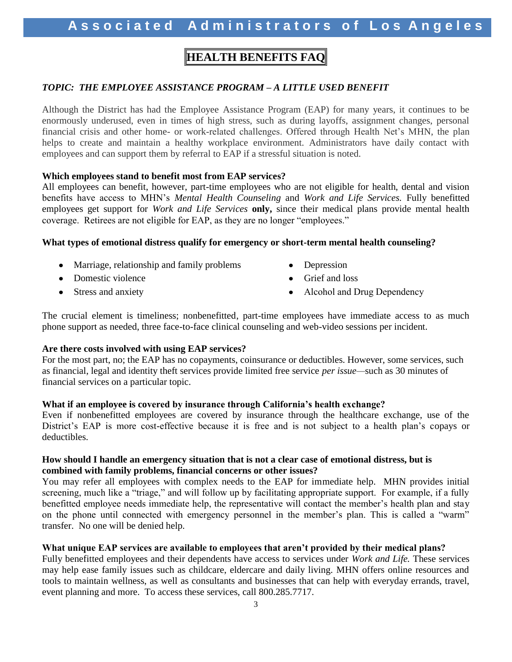### **HEALTH BENEFITS FAQ**

#### *TOPIC: THE EMPLOYEE ASSISTANCE PROGRAM – A LITTLE USED BENEFIT*

Although the District has had the Employee Assistance Program (EAP) for many years, it continues to be enormously underused, even in times of high stress, such as during layoffs, assignment changes, personal financial crisis and other home- or work-related challenges. Offered through Health Net's MHN, the plan helps to create and maintain a healthy workplace environment. Administrators have daily contact with employees and can support them by referral to EAP if a stressful situation is noted.

#### **Which employees stand to benefit most from EAP services?**

All employees can benefit, however, part-time employees who are not eligible for health, dental and vision benefits have access to MHN's *Mental Health Counseling* and *Work and Life Services.* Fully benefitted employees get support for *Work and Life Services* **only,** since their medical plans provide mental health coverage. Retirees are not eligible for EAP, as they are no longer "employees."

#### **What types of emotional distress qualify for emergency or short-term mental health counseling?**

- Marriage, relationship and family problems Depression
- Domestic violence **Grief** and loss
- 
- 
- 
- Stress and anxiety **Alcohol and Drug Dependency** Alcohol and Drug Dependency

The crucial element is timeliness; nonbenefitted, part-time employees have immediate access to as much phone support as needed, three face-to-face clinical counseling and web-video sessions per incident.

#### **Are there costs involved with using EAP services?**

For the most part, no; the EAP has no copayments, coinsurance or deductibles. However, some services, such as financial, legal and identity theft services provide limited free service *per issue—*such as 30 minutes of financial services on a particular topic.

#### **What if an employee is covered by insurance through California's health exchange?**

Even if nonbenefitted employees are covered by insurance through the healthcare exchange, use of the District's EAP is more cost-effective because it is free and is not subject to a health plan's copays or deductibles.

#### **How should I handle an emergency situation that is not a clear case of emotional distress, but is combined with family problems, financial concerns or other issues?**

You may refer all employees with complex needs to the EAP for immediate help. MHN provides initial screening, much like a "triage," and will follow up by facilitating appropriate support. For example, if a fully benefitted employee needs immediate help, the representative will contact the member's health plan and stay on the phone until connected with emergency personnel in the member's plan. This is called a "warm" transfer. No one will be denied help.

#### **What unique EAP services are available to employees that aren't provided by their medical plans?**

Fully benefitted employees and their dependents have access to services under *Work and Life.* These services may help ease family issues such as childcare, eldercare and daily living. MHN offers online resources and tools to maintain wellness, as well as consultants and businesses that can help with everyday errands, travel, event planning and more. To access these services, call 800.285.7717.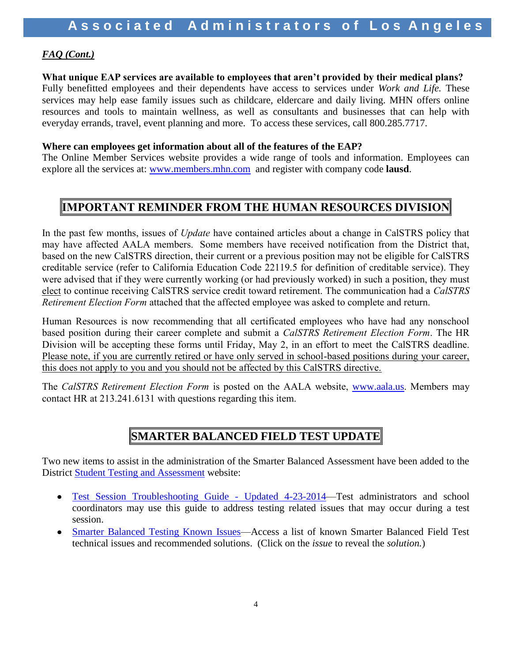### *FAQ (Cont.)*

#### **What unique EAP services are available to employees that aren't provided by their medical plans?**

Fully benefitted employees and their dependents have access to services under *Work and Life.* These services may help ease family issues such as childcare, eldercare and daily living. MHN offers online resources and tools to maintain wellness, as well as consultants and businesses that can help with everyday errands, travel, event planning and more. To access these services, call 800.285.7717.

#### **Where can employees get information about all of the features of the EAP?**

The Online Member Services website provides a wide range of tools and information. Employees can explore all the services at: [www.members.mhn.com](http://www.members.mhn.com/)and register with company code **lausd**.

### **IMPORTANT REMINDER FROM THE HUMAN RESOURCES DIVISION**

In the past few months, issues of *Update* have contained articles about a change in CalSTRS policy that may have affected AALA members. Some members have received notification from the District that, based on the new CalSTRS direction, their current or a previous position may not be eligible for CalSTRS creditable service (refer to California Education Code 22119.5 for definition of creditable service). They were advised that if they were currently working (or had previously worked) in such a position, they must elect to continue receiving CalSTRS service credit toward retirement. The communication had a *CalSTRS Retirement Election Form* attached that the affected employee was asked to complete and return.

Human Resources is now recommending that all certificated employees who have had any nonschool based position during their career complete and submit a *CalSTRS Retirement Election Form*. The HR Division will be accepting these forms until Friday, May 2, in an effort to meet the CalSTRS deadline. Please note, if you are currently retired or have only served in school-based positions during your career, this does not apply to you and you should not be affected by this CalSTRS directive.

The *CalSTRS Retirement Election Form* is posted on the AALA website, [www.aala.us](http://www.aala.us/). Members may contact HR at 213.241.6131 with questions regarding this item.

### **SMARTER BALANCED FIELD TEST UPDATE**

Two new items to assist in the administration of the Smarter Balanced Assessment have been added to the District [Student Testing and Assessment](http://notebook.lausd.net/portal/page?_pageid=33,125524&_dad=ptl&_schema=PTL_EP) website:

- [Test Session Troubleshooting Guide -](http://notebook.lausd.net/pls/ptl/url/ITEM/F389D30034F4F082E0430A000210F082) Updated 4-23-2014—Test administrators and school coordinators may use this guide to address testing related issues that may occur during a test session.
- $\bullet$ [Smarter Balanced Testing Known Issues—](http://achieve.lausd.net/sbtki)Access a list of known Smarter Balanced Field Test technical issues and recommended solutions. (Click on the *issue* to reveal the *solution.*)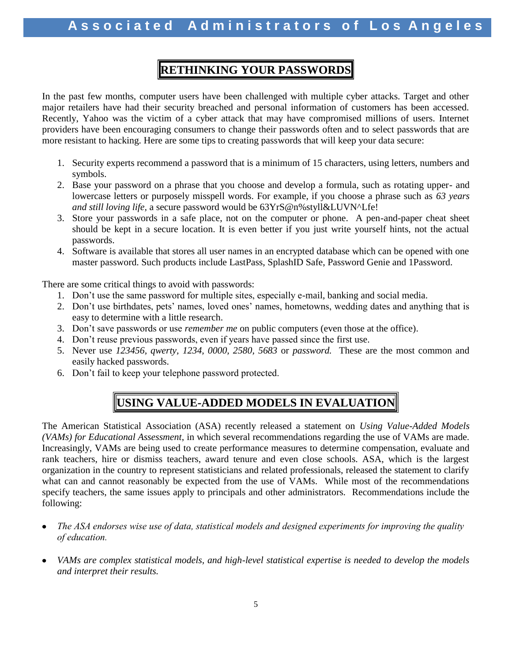### **RETHINKING YOUR PASSWORDS**

In the past few months, computer users have been challenged with multiple cyber attacks. Target and other major retailers have had their security breached and personal information of customers has been accessed. Recently, Yahoo was the victim of a cyber attack that may have compromised millions of users. Internet providers have been encouraging consumers to change their passwords often and to select passwords that are more resistant to hacking. Here are some tips to creating passwords that will keep your data secure:

- 1. Security experts recommend a password that is a minimum of 15 characters, using letters, numbers and symbols.
- 2. Base your password on a phrase that you choose and develop a formula, such as rotating upper- and lowercase letters or purposely misspell words. For example, if you choose a phrase such as *63 years and still loving life,* a secure password would be 63YrS@n%styll&LUVN^Lfe!
- 3. Store your passwords in a safe place, not on the computer or phone. A pen-and-paper cheat sheet should be kept in a secure location. It is even better if you just write yourself hints, not the actual passwords.
- 4. Software is available that stores all user names in an encrypted database which can be opened with one master password. Such products include LastPass, SplashID Safe, Password Genie and 1Password.

There are some critical things to avoid with passwords:

- 1. Don't use the same password for multiple sites, especially e-mail, banking and social media.
- 2. Don't use birthdates, pets' names, loved ones' names, hometowns, wedding dates and anything that is easy to determine with a little research.
- 3. Don't save passwords or use *remember me* on public computers (even those at the office).
- 4. Don't reuse previous passwords, even if years have passed since the first use.
- 5. Never use *123456, qwerty, 1234, 0000, 2580, 5683* or *password.* These are the most common and easily hacked passwords.
- 6. Don't fail to keep your telephone password protected.

### **USING VALUE-ADDED MODELS IN EVALUATION**

The American Statistical Association (ASA) recently released a statement on *Using Value-Added Models (VAMs) for Educational Assessment*, in which several recommendations regarding the use of VAMs are made. Increasingly, VAMs are being used to create performance measures to determine compensation, evaluate and rank teachers, hire or dismiss teachers, award tenure and even close schools. ASA, which is the largest organization in the country to represent statisticians and related professionals, released the statement to clarify what can and cannot reasonably be expected from the use of VAMs. While most of the recommendations specify teachers, the same issues apply to principals and other administrators. Recommendations include the following:

- *The ASA endorses wise use of data, statistical models and designed experiments for improving the quality*   $\bullet$ *of education.*
- *VAMs are complex statistical models, and high-level statistical expertise is needed to develop the models and interpret their results.*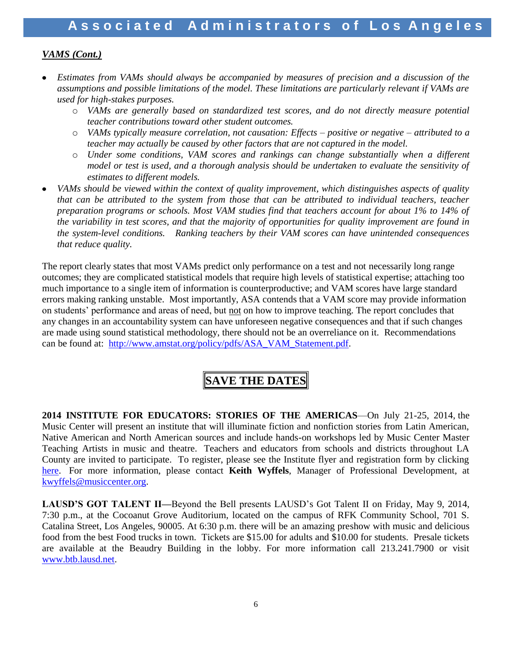### *VAMS (Cont.)*

- *Estimates from VAMs should always be accompanied by measures of precision and a discussion of the assumptions and possible limitations of the model. These limitations are particularly relevant if VAMs are used for high-stakes purposes.*
	- o *VAMs are generally based on standardized test scores, and do not directly measure potential teacher contributions toward other student outcomes.*
	- o *VAMs typically measure correlation, not causation: Effects – positive or negative – attributed to a teacher may actually be caused by other factors that are not captured in the model.*
	- o *Under some conditions, VAM scores and rankings can change substantially when a different model or test is used, and a thorough analysis should be undertaken to evaluate the sensitivity of estimates to different models.*
- *VAMs should be viewed within the context of quality improvement, which distinguishes aspects of quality that can be attributed to the system from those that can be attributed to individual teachers, teacher preparation programs or schools. Most VAM studies find that teachers account for about 1% to 14% of the variability in test scores, and that the majority of opportunities for quality improvement are found in the system-level conditions. Ranking teachers by their VAM scores can have unintended consequences that reduce quality.*

The report clearly states that most VAMs predict only performance on a test and not necessarily long range outcomes; they are complicated statistical models that require high levels of statistical expertise; attaching too much importance to a single item of information is counterproductive; and VAM scores have large standard errors making ranking unstable. Most importantly, ASA contends that a VAM score may provide information on students' performance and areas of need, but not on how to improve teaching. The report concludes that any changes in an accountability system can have unforeseen negative consequences and that if such changes are made using sound statistical methodology, there should not be an overreliance on it. Recommendations can be found at: [http://www.amstat.org/policy/pdfs/ASA\\_VAM\\_Statement.pdf.](http://www.amstat.org/policy/pdfs/ASA_VAM_Statement.pdf)

### **SAVE THE DATES**

**2014 INSTITUTE FOR EDUCATORS: STORIES OF THE AMERICAS**—On July 21-25, 2014, the Music Center will present an institute that will illuminate fiction and nonfiction stories from Latin American, Native American and North American sources and include hands-on workshops led by Music Center Master Teaching Artists in music and theatre. Teachers and educators from schools and districts throughout LA County are invited to participate. To register, please see the Institute flyer and registration form by clicking [here.](http://www.musiccenter.org/Documents/Education/2014-Institute-for-Educators-Flyer.pdf) For more information, please contact **Keith Wyffels**, Manager of Professional Development, at [kwyffels@musiccenter.org.](mailto:kwyffels@musiccenter.org)

**LAUSD'S GOT TALENT II—**Beyond the Bell presents LAUSD's Got Talent II on Friday, May 9, 2014, 7:30 p.m., at the Cocoanut Grove Auditorium, located on the campus of RFK Community School, 701 S. Catalina Street, Los Angeles, 90005. At 6:30 p.m. there will be an amazing preshow with music and delicious food from the best Food trucks in town. Tickets are \$15.00 for adults and \$10.00 for students. Presale tickets are available at the Beaudry Building in the lobby. For more information call 213.241.7900 or visit [www.btb.lausd.net.](http://www.btb.lausd.net/)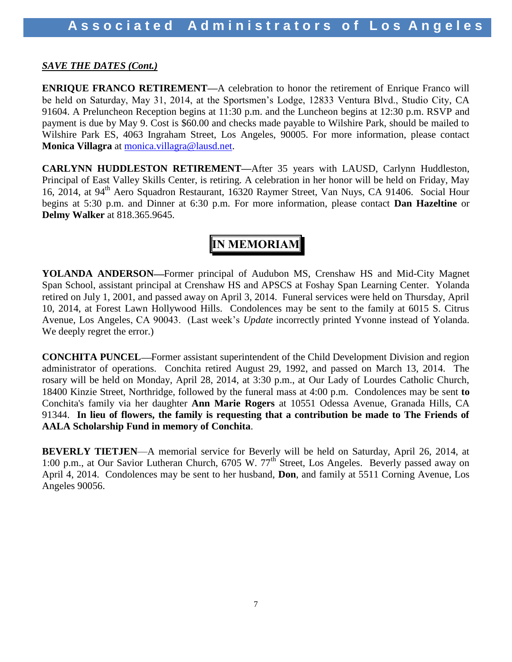#### *SAVE THE DATES (Cont.)*

**ENRIQUE FRANCO RETIREMENT—A** celebration to honor the retirement of Enrique Franco will be held on Saturday, May 31, 2014, at the Sportsmen's Lodge, 12833 Ventura Blvd., Studio City, CA 91604. A Preluncheon Reception begins at 11:30 p.m. and the Luncheon begins at 12:30 p.m. RSVP and payment is due by May 9. Cost is \$60.00 and checks made payable to Wilshire Park, should be mailed to Wilshire Park ES, 4063 Ingraham Street, Los Angeles, 90005. For more information, please contact **Monica Villagra** at [monica.villagra@lausd.net.](mailto:monica.villagra@lausd.net)

**CARLYNN HUDDLESTON RETIREMENT—**After 35 years with LAUSD, Carlynn Huddleston, Principal of East Valley Skills Center, is retiring. A celebration in her honor will be held on Friday, May 16, 2014, at 94<sup>th</sup> Aero Squadron Restaurant, 16320 Raymer Street, Van Nuys, CA 91406. Social Hour begins at 5:30 p.m. and Dinner at 6:30 p.m. For more information, please contact **Dan Hazeltine** or **Delmy Walker** at 818.365.9645.

### **IN MEMORIAM**

YOLANDA ANDERSON—Former principal of Audubon MS, Crenshaw HS and Mid-City Magnet Span School, assistant principal at Crenshaw HS and APSCS at Foshay Span Learning Center. Yolanda retired on July 1, 2001, and passed away on April 3, 2014. Funeral services were held on Thursday, April 10, 2014, at Forest Lawn Hollywood Hills. Condolences may be sent to the family at 6015 S. Citrus Avenue, Los Angeles, CA 90043. (Last week's *Update* incorrectly printed Yvonne instead of Yolanda. We deeply regret the error.)

**CONCHITA PUNCEL—Former assistant superintendent of the Child Development Division and region** administrator of operations. Conchita retired August 29, 1992, and passed on March 13, 2014. The rosary will be held on Monday, April 28, 2014, at 3:30 p.m., at Our Lady of Lourdes Catholic Church, 18400 Kinzie Street, Northridge, followed by the funeral mass at 4:00 p.m. Condolences may be sent **to**  Conchita's family via her daughter **Ann Marie Rogers** at 10551 Odessa Avenue, Granada Hills, CA 91344. **In lieu of flowers, the family is requesting that a contribution be made to The Friends of AALA Scholarship Fund in memory of Conchita**.

**BEVERLY TIETJEN**—A memorial service for Beverly will be held on Saturday, April 26, 2014, at 1:00 p.m., at Our Savior Lutheran Church, 6705 W. 77<sup>th</sup> Street, Los Angeles. Beverly passed away on April 4, 2014. Condolences may be sent to her husband, **Don**, and family at 5511 Corning Avenue, Los Angeles 90056.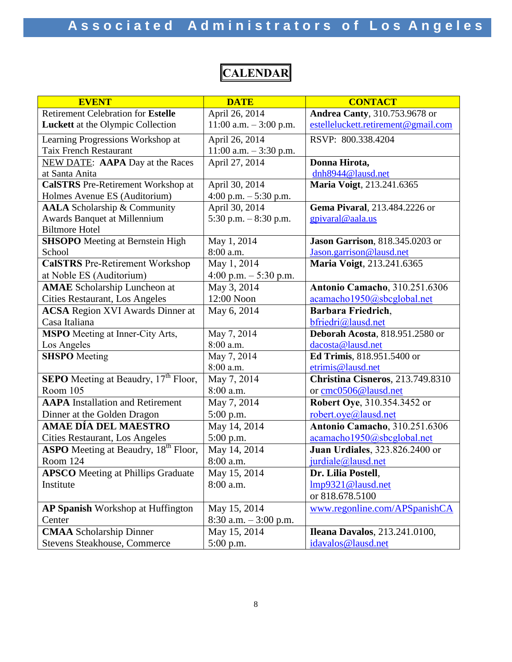### **CALENDAR**

| <b>EVENT</b>                                            | <b>DATE</b>              | <b>CONTACT</b>                          |
|---------------------------------------------------------|--------------------------|-----------------------------------------|
| <b>Retirement Celebration for Estelle</b>               | April 26, 2014           | <b>Andrea Canty</b> , 310.753.9678 or   |
| Luckett at the Olympic Collection                       | 11:00 a.m. $-3:00$ p.m.  | estelleluckett.retirement@gmail.com     |
| Learning Progressions Workshop at                       | April 26, 2014           | RSVP: 800.338.4204                      |
| <b>Taix French Restaurant</b>                           | 11:00 a.m. $-3:30$ p.m.  |                                         |
| <b>NEW DATE:</b> AAPA Day at the Races                  | April 27, 2014           | Donna Hirota,                           |
| at Santa Anita                                          |                          | dnh8944@lausd.net                       |
| <b>CalSTRS</b> Pre-Retirement Workshop at               | April 30, 2014           | Maria Voigt, 213.241.6365               |
| Holmes Avenue ES (Auditorium)                           | 4:00 p.m. $-5:30$ p.m.   |                                         |
| <b>AALA</b> Scholarship & Community                     | April 30, 2014           | Gema Pivaral, 213.484.2226 or           |
| Awards Banquet at Millennium                            | 5:30 p.m. $-8:30$ p.m.   | gpivaral@aala.us                        |
| <b>Biltmore Hotel</b>                                   |                          |                                         |
| <b>SHSOPO</b> Meeting at Bernstein High                 | May 1, 2014              | <b>Jason Garrison</b> , 818.345.0203 or |
| School                                                  | 8:00 a.m.                | Jason.garrison@lausd.net                |
| <b>CalSTRS</b> Pre-Retirement Workshop                  | May 1, 2014              | Maria Voigt, 213.241.6365               |
| at Noble ES (Auditorium)                                | 4:00 p.m. $-$ 5:30 p.m.  |                                         |
| <b>AMAE</b> Scholarship Luncheon at                     | May 3, 2014              | <b>Antonio Camacho</b> , 310.251.6306   |
| Cities Restaurant, Los Angeles                          | 12:00 Noon               | acamacho1950@sbcglobal.net              |
| <b>ACSA</b> Region XVI Awards Dinner at                 | May 6, 2014              | Barbara Friedrich,                      |
| Casa Italiana                                           |                          | bfriedri@lausd.net                      |
| <b>MSPO</b> Meeting at Inner-City Arts,                 | May 7, 2014              | <b>Deborah Acosta</b> , 818.951.2580 or |
| Los Angeles                                             | 8:00 a.m.                | dacosta@lausd.net                       |
| <b>SHSPO</b> Meeting                                    | May 7, 2014              | Ed Trimis, 818.951.5400 or              |
|                                                         | 8:00 a.m.                | etrimis@lausd.net                       |
| <b>SEPO</b> Meeting at Beaudry, 17 <sup>th</sup> Floor, | May 7, 2014              | Christina Cisneros, 213.749.8310        |
| Room 105                                                | 8:00 a.m.                | or cmc0506@lausd.net                    |
| <b>AAPA</b> Installation and Retirement                 | May 7, 2014              | Robert Oye, 310.354.3452 or             |
| Dinner at the Golden Dragon                             | $5:00$ p.m.              | robert.oye@lausd.net                    |
| <b>AMAE DÍA DEL MAESTRO</b>                             | May 14, 2014             | <b>Antonio Camacho</b> , 310.251.6306   |
| Cities Restaurant, Los Angeles                          | 5:00 p.m.                | acamacho1950@sbcglobal.net              |
| <b>ASPO</b> Meeting at Beaudry, 18 <sup>th</sup> Floor, | May 14, 2014             | <b>Juan Urdiales</b> , 323.826.2400 or  |
| Room 124                                                | 8:00 a.m.                | jurdiale@lausd.net                      |
| <b>APSCO</b> Meeting at Phillips Graduate               | May 15, 2014             | Dr. Lilia Postell,                      |
| Institute                                               | 8:00 a.m.                | Imp9321@lausd.net                       |
|                                                         |                          | or 818.678.5100                         |
| AP Spanish Workshop at Huffington                       | May 15, 2014             | www.regonline.com/APSpanishCA           |
| Center                                                  | $8:30$ a.m. $-3:00$ p.m. |                                         |
| <b>CMAA</b> Scholarship Dinner                          | May 15, 2014             | <b>Ileana Davalos</b> , 213.241.0100,   |
| Stevens Steakhouse, Commerce                            | 5:00 p.m.                | idavalos@lausd.net                      |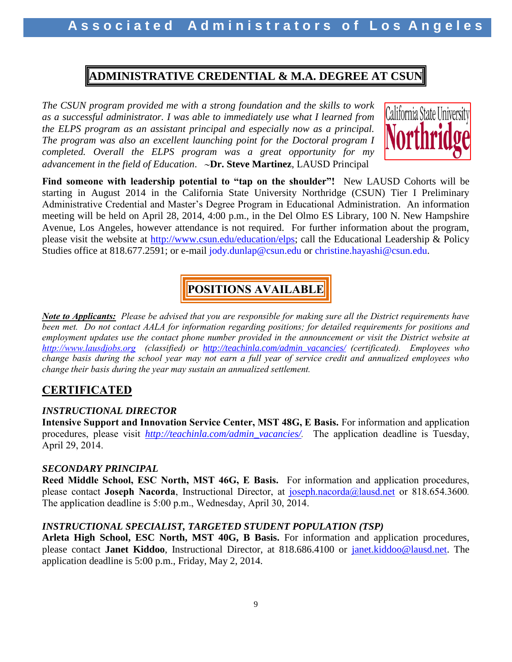### **ADMINISTRATIVE CREDENTIAL & M.A. DEGREE AT CSUN**

*The CSUN program provided me with a strong foundation and the skills to work as a successful administrator. I was able to immediately use what I learned from the ELPS program as an assistant principal and especially now as a principal. The program was also an excellent launching point for the Doctoral program I completed. Overall the ELPS program was a great opportunity for my advancement in the field of Education*. **Dr. Steve Martinez**, LAUSD Principal



**Find someone with leadership potential to "tap on the shoulder"!** New LAUSD Cohorts will be starting in August 2014 in the California State University Northridge (CSUN) Tier I Preliminary Administrative Credential and Master's Degree Program in Educational Administration. An information meeting will be held on April 28, 2014, 4:00 p.m., in the Del Olmo ES Library, 100 N. New Hampshire Avenue, Los Angeles, however attendance is not required. For further information about the program, please visit the website at [http://www.csun.edu/education/elps;](http://www.csun.edu/education/elps) call the Educational Leadership & Policy Studies office at 818.677.2591; or e-mail jody.dunlap@csun.edu or christine.hayashi@csun.edu.

### **POSITIONS AVAILABLE**

*Note to Applicants: Please be advised that you are responsible for making sure all the District requirements have been met. Do not contact AALA for information regarding positions; for detailed requirements for positions and employment updates use the contact phone number provided in the announcement or visit the District website at [http://www.lausdjobs.org](http://www.lausdjobs.org/) (classified) or [http://teachinla.com/admin\\_vacancies/](http://teachinla.com/admin_vacancies/) (certificated). Employees who change basis during the school year may not earn a full year of service credit and annualized employees who change their basis during the year may sustain an annualized settlement.*

### **CERTIFICATED**

### *INSTRUCTIONAL DIRECTOR*

**Intensive Support and Innovation Service Center, MST 48G, E Basis.** For information and application procedures, please visit *[http://teachinla.com/admin\\_vacancies/](http://teachinla.com/admin_vacancies/).* The application deadline is Tuesday, April 29, 2014.

### *SECONDARY PRINCIPAL*

**Reed Middle School, ESC North, MST 46G, E Basis.** For information and application procedures, please contact **Joseph Nacorda**, Instructional Director, at [joseph.nacorda@lausd.net](mailto:joseph.nacorda@lausd.net) or 818.654.3600*.* The application deadline is 5:00 p.m., Wednesday, April 30, 2014.

### *INSTRUCTIONAL SPECIALIST, TARGETED STUDENT POPULATION (TSP)*

**Arleta High School, ESC North, MST 40G, B Basis.** For information and application procedures, please contact **Janet Kiddoo**, Instructional Director, at 818.686.4100 or [janet.kiddoo@lausd.net.](mailto:janet.kiddoo@lausd.net) The application deadline is 5:00 p.m., Friday, May 2, 2014.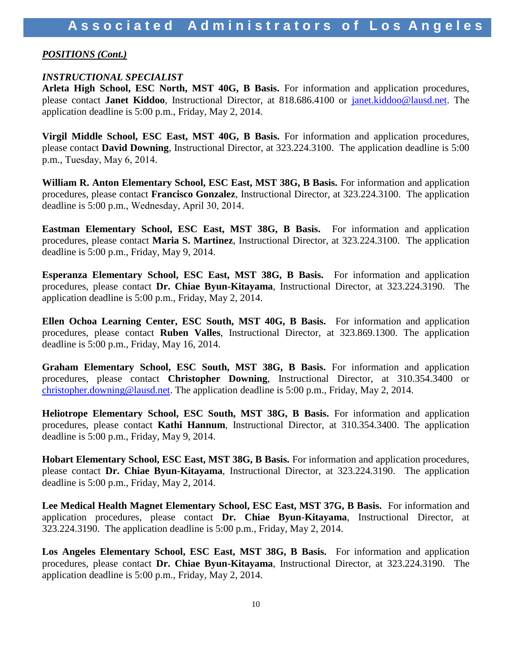#### *POSITIONS (Cont.)*

#### *INSTRUCTIONAL SPECIALIST*

**Arleta High School, ESC North, MST 40G, B Basis.** For information and application procedures, please contact **Janet Kiddoo**, Instructional Director, at 818.686.4100 or [janet.kiddoo@lausd.net.](mailto:janet.kiddoo@lausd.net) The application deadline is 5:00 p.m., Friday, May 2, 2014.

**Virgil Middle School, ESC East, MST 40G, B Basis.** For information and application procedures, please contact **David Downing**, Instructional Director, at 323.224.3100. The application deadline is 5:00 p.m., Tuesday, May 6, 2014.

**William R. Anton Elementary School, ESC East, MST 38G, B Basis.** For information and application procedures, please contact **Francisco Gonzalez**, Instructional Director, at 323.224.3100. The application deadline is 5:00 p.m., Wednesday, April 30, 2014.

**Eastman Elementary School, ESC East, MST 38G, B Basis.** For information and application procedures, please contact **Maria S. Martinez**, Instructional Director, at 323.224.3100. The application deadline is 5:00 p.m., Friday, May 9, 2014.

**Esperanza Elementary School, ESC East, MST 38G, B Basis.** For information and application procedures, please contact **Dr. Chiae Byun-Kitayama**, Instructional Director, at 323.224.3190. The application deadline is 5:00 p.m., Friday, May 2, 2014.

**Ellen Ochoa Learning Center, ESC South, MST 40G, B Basis.** For information and application procedures, please contact **Ruben Valles**, Instructional Director, at 323.869.1300. The application deadline is 5:00 p.m., Friday, May 16, 2014.

**Graham Elementary School, ESC South, MST 38G, B Basis.** For information and application procedures, please contact **Christopher Downing**, Instructional Director, at 310.354.3400 or [christopher.downing@lausd.net.](mailto:christopher.downing@lausd.net) The application deadline is 5:00 p.m., Friday, May 2, 2014.

**Heliotrope Elementary School, ESC South, MST 38G, B Basis.** For information and application procedures, please contact **Kathi Hannum**, Instructional Director, at 310.354.3400. The application deadline is 5:00 p.m., Friday, May 9, 2014.

**Hobart Elementary School, ESC East, MST 38G, B Basis.** For information and application procedures, please contact **Dr. Chiae Byun-Kitayama**, Instructional Director, at 323.224.3190. The application deadline is 5:00 p.m., Friday, May 2, 2014.

**Lee Medical Health Magnet Elementary School, ESC East, MST 37G, B Basis.** For information and application procedures, please contact **Dr. Chiae Byun-Kitayama**, Instructional Director, at 323.224.3190. The application deadline is 5:00 p.m., Friday, May 2, 2014.

**Los Angeles Elementary School, ESC East, MST 38G, B Basis.** For information and application procedures, please contact **Dr. Chiae Byun-Kitayama**, Instructional Director, at 323.224.3190. The application deadline is 5:00 p.m., Friday, May 2, 2014.